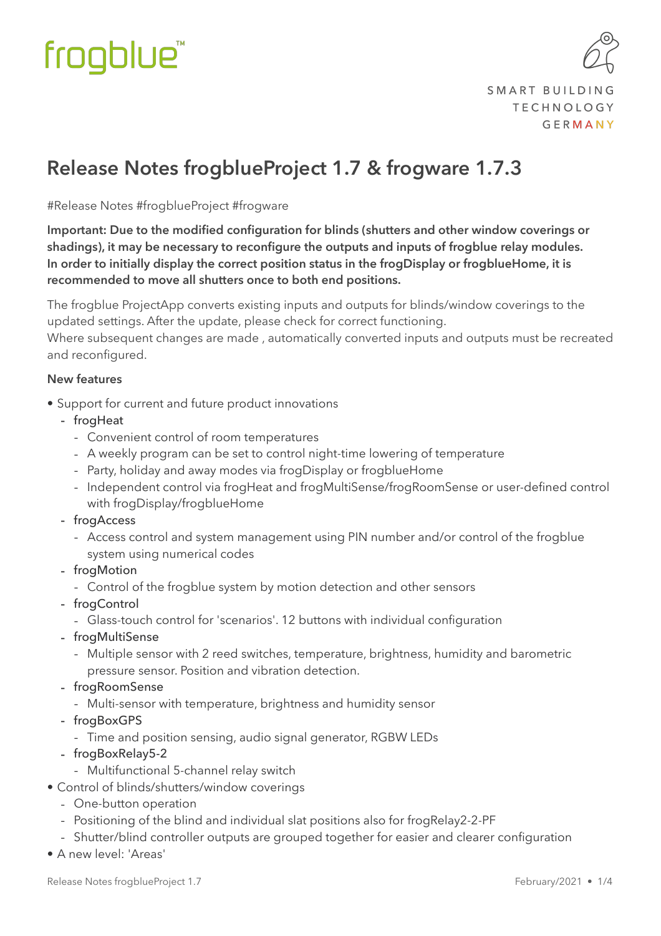

#### **Release Notes frogblueProject 1.7 & frogware 1.7.3**

#Release Notes #frogblueProject #frogware

**Important: Due to the modified configuration for blinds (shutters and other window coverings or shadings), it may be necessary to reconfigure the outputs and inputs of frogblue relay modules. In order to initially display the correct position status in the frogDisplay or frogblueHome, it is recommended to move all shutters once to both end positions.** 

The frogblue ProjectApp converts existing inputs and outputs for blinds/window coverings to the updated settings. After the update, please check for correct functioning.

Where subsequent changes are made , automatically converted inputs and outputs must be recreated and reconfigured.

#### **New features**

- Support for current and future product innovations
	- froaHeat
		- Convenient control of room temperatures
		- A weekly program can be set to control night-time lowering of temperature
		- Party, holiday and away modes via frogDisplay or frogblueHome
		- Independent control via frogHeat and frogMultiSense/frogRoomSense or user-defined control with frogDisplay/frogblueHome
	- frogAccess
		- Access control and system management using PIN number and/or control of the frogblue system using numerical codes
	- frogMotion
		- Control of the frogblue system by motion detection and other sensors
	- frogControl
		- Glass-touch control for 'scenarios'. 12 buttons with individual configuration
	- frogMultiSense
		- Multiple sensor with 2 reed switches, temperature, brightness, humidity and barometric pressure sensor. Position and vibration detection.
	- frogRoomSense
		- Multi-sensor with temperature, brightness and humidity sensor
	- frogBoxGPS
		- Time and position sensing, audio signal generator, RGBW LEDs
	- frogBoxRelay5-2
		- Multifunctional 5-channel relay switch
- Control of blinds/shutters/window coverings
	- One-button operation
	- Positioning of the blind and individual slat positions also for frogRelay2-2-PF
	- Shutter/blind controller outputs are grouped together for easier and clearer configuration
- A new level: 'Areas'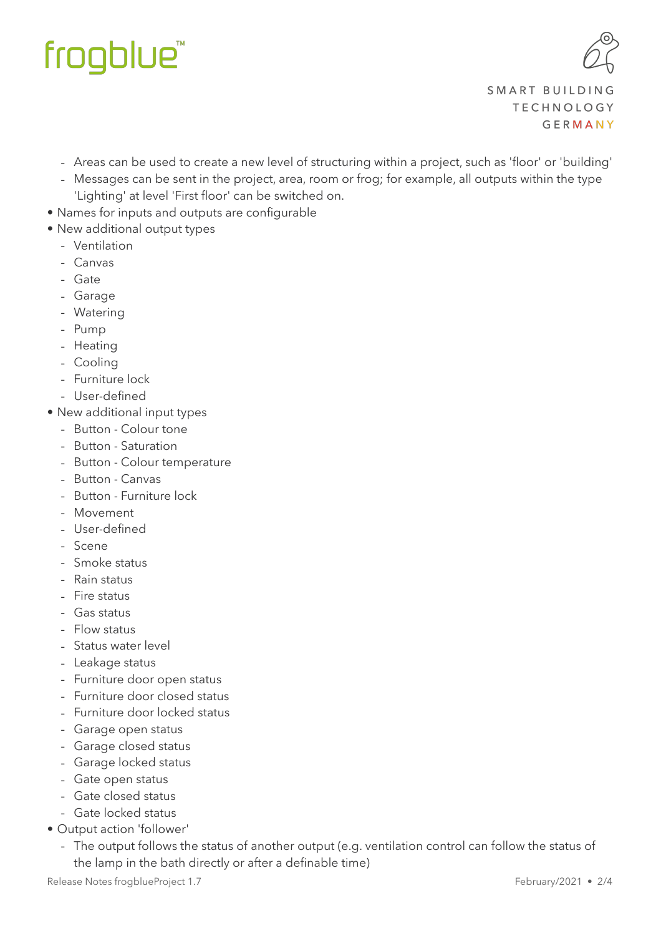

- Areas can be used to create a new level of structuring within a project, such as 'floor' or 'building'
- Messages can be sent in the project, area, room or frog; for example, all outputs within the type
- 'Lighting' at level 'First floor' can be switched on.
- Names for inputs and outputs are configurable
- New additional output types
	- Ventilation
	- Canvas
	- Gate
	- Garage
	- Watering
	- Pump
	- Heating
	- Cooling
	- Furniture lock
	- User-defined
- New additional input types
	- Button Colour tone
	- Button Saturation
	- Button Colour temperature
	- Button Canvas
	- Button Furniture lock
	- Movement
	- User-defined
	- Scene
	- Smoke status
	- Rain status
	- Fire status
	- Gas status
	- Flow status
	- Status water level
	- Leakage status
	- Furniture door open status
	- Furniture door closed status
	- Furniture door locked status
	- Garage open status
	- Garage closed status
	- Garage locked status
	- Gate open status
	- Gate closed status
	- Gate locked status
- Output action 'follower'
	- The output follows the status of another output (e.g. ventilation control can follow the status of the lamp in the bath directly or after a definable time)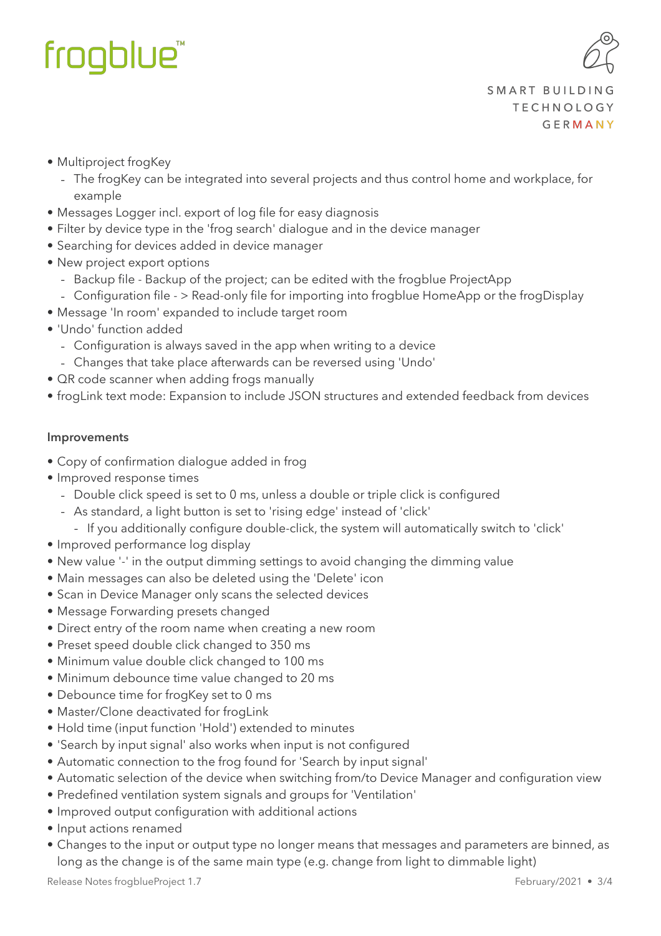

- Multiproject frogKey
	- The frogKey can be integrated into several projects and thus control home and workplace, for example
- Messages Logger incl. export of log file for easy diagnosis
- Filter by device type in the 'frog search' dialogue and in the device manager
- Searching for devices added in device manager
- New project export options
	- Backup file Backup of the project; can be edited with the frogblue ProjectApp
	- Configuration file > Read-only file for importing into frogblue HomeApp or the frogDisplay
- Message 'In room' expanded to include target room
- 'Undo' function added
	- Configuration is always saved in the app when writing to a device
	- Changes that take place afterwards can be reversed using 'Undo'
- QR code scanner when adding frogs manually
- frogLink text mode: Expansion to include JSON structures and extended feedback from devices

#### **Improvements**

- Copy of confirmation dialogue added in frog
- Improved response times
	- Double click speed is set to 0 ms, unless a double or triple click is configured
	- As standard, a light button is set to 'rising edge' instead of 'click'
		- If you additionally configure double-click, the system will automatically switch to 'click'
- Improved performance log display
- New value '-' in the output dimming settings to avoid changing the dimming value
- Main messages can also be deleted using the 'Delete' icon
- Scan in Device Manager only scans the selected devices
- Message Forwarding presets changed
- Direct entry of the room name when creating a new room
- Preset speed double click changed to 350 ms
- Minimum value double click changed to 100 ms
- Minimum debounce time value changed to 20 ms
- Debounce time for frogKey set to 0 ms
- Master/Clone deactivated for frogLink
- Hold time (input function 'Hold') extended to minutes
- 'Search by input signal' also works when input is not configured
- Automatic connection to the frog found for 'Search by input signal'
- Automatic selection of the device when switching from/to Device Manager and configuration view
- Predefined ventilation system signals and groups for 'Ventilation'
- Improved output configuration with additional actions
- Input actions renamed
- Changes to the input or output type no longer means that messages and parameters are binned, as long as the change is of the same main type (e.g. change from light to dimmable light)